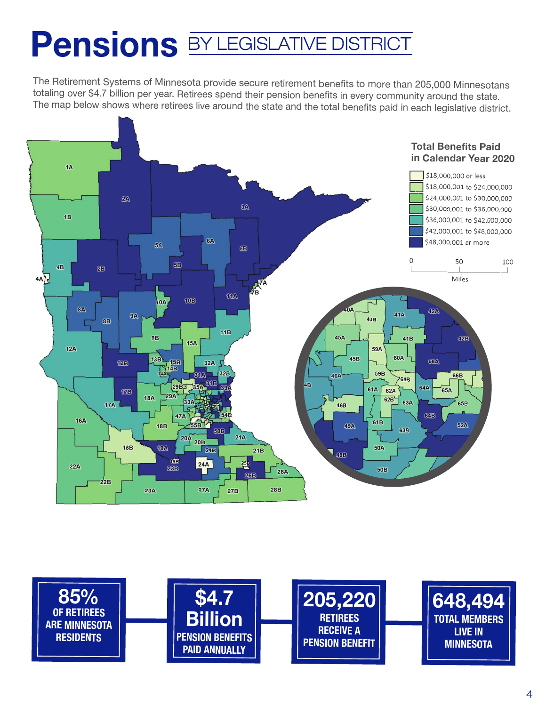## Pensions **BY LEGISLATIVE DISTRICT**

The Retirement Systems of Minnesota provide secure retirement benefits to more than 205,000 Minnesotans totaling over \$4.7 billion per year. Retirees spend their pension benefits in every community around the state.<br>The man helau shaus what with the state. The map below shows where retirees live around the state and the total benefits paid in each legislative district. The Retirement Systems of Minnesota provide secure retirement benefits to more than 205,000 Minnesotans he Retirement Systems of Minnesota provide secure retirement benefits to more than 205,000 Minnesotans